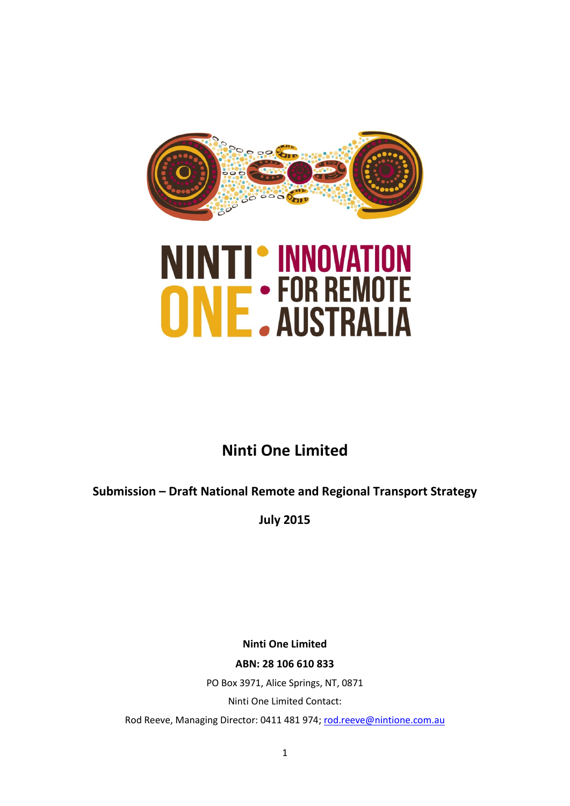

# **NINTI' INNOVATION<br>ONE: FOR REMOTE**

# **Ninti One Limited**

**Submission – Draft National Remote and Regional Transport Strategy** 

**July 2015**

**Ninti One Limited ABN: 28 106 610 833** PO Box 3971, Alice Springs, NT, 0871 Ninti One Limited Contact:

Rod Reeve, Managing Director: 0411 481 974; [rod.reeve@nintione.com.au](mailto:rod.reeve@nintione.com.au)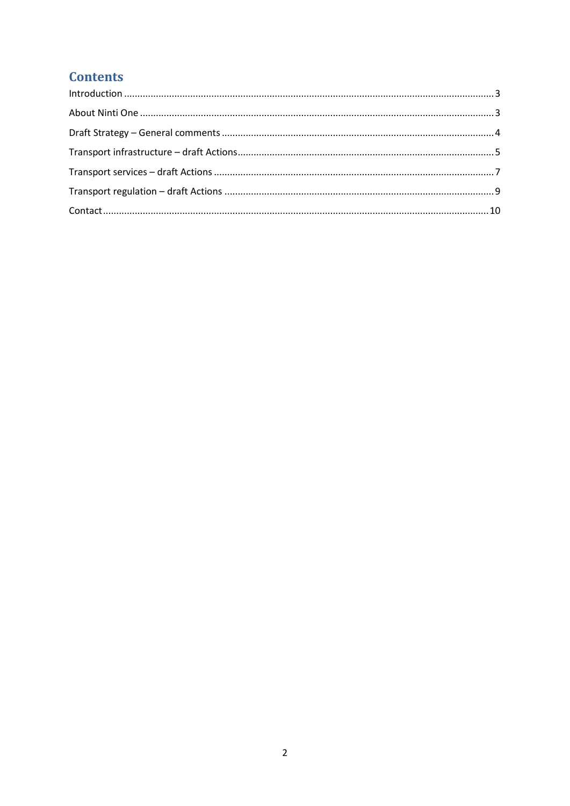# **Contents**

<span id="page-1-0"></span>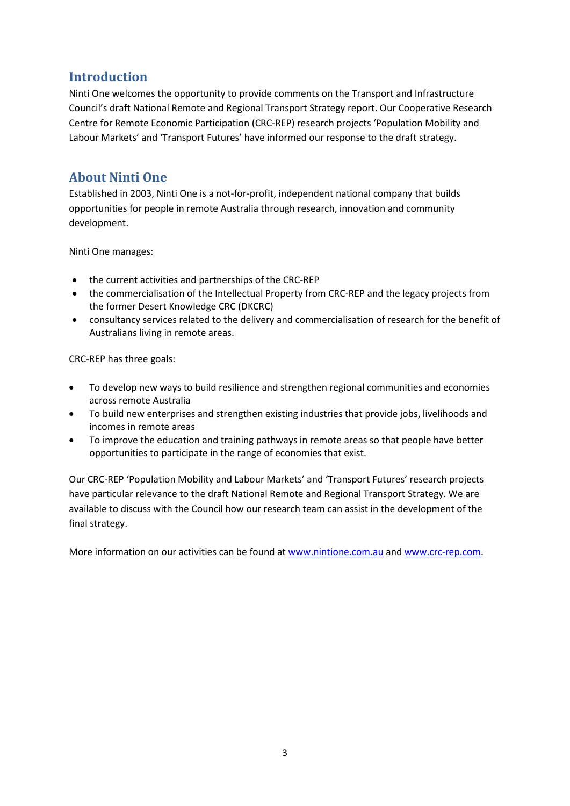# **Introduction**

Ninti One welcomes the opportunity to provide comments on the Transport and Infrastructure Council's draft National Remote and Regional Transport Strategy report. Our Cooperative Research Centre for Remote Economic Participation (CRC-REP) research projects 'Population Mobility and Labour Markets' and 'Transport Futures' have informed our response to the draft strategy.

# <span id="page-2-0"></span>**About Ninti One**

Established in 2003, Ninti One is a not-for-profit, independent national company that builds opportunities for people in remote Australia through research, innovation and community development.

Ninti One manages:

- the current activities and partnerships of the CRC-REP
- the commercialisation of the Intellectual Property from CRC-REP and the legacy projects from the former Desert Knowledge CRC (DKCRC)
- consultancy services related to the delivery and commercialisation of research for the benefit of Australians living in remote areas.

CRC-REP has three goals:

- To develop new ways to build resilience and strengthen regional communities and economies across remote Australia
- To build new enterprises and strengthen existing industries that provide jobs, livelihoods and incomes in remote areas
- To improve the education and training pathways in remote areas so that people have better opportunities to participate in the range of economies that exist.

Our CRC-REP 'Population Mobility and Labour Markets' and 'Transport Futures' research projects have particular relevance to the draft National Remote and Regional Transport Strategy. We are available to discuss with the Council how our research team can assist in the development of the final strategy.

More information on our activities can be found at [www.nintione.com.au](http://www.nintione.com.au/) an[d www.crc-rep.com.](http://www.crc-rep.com/)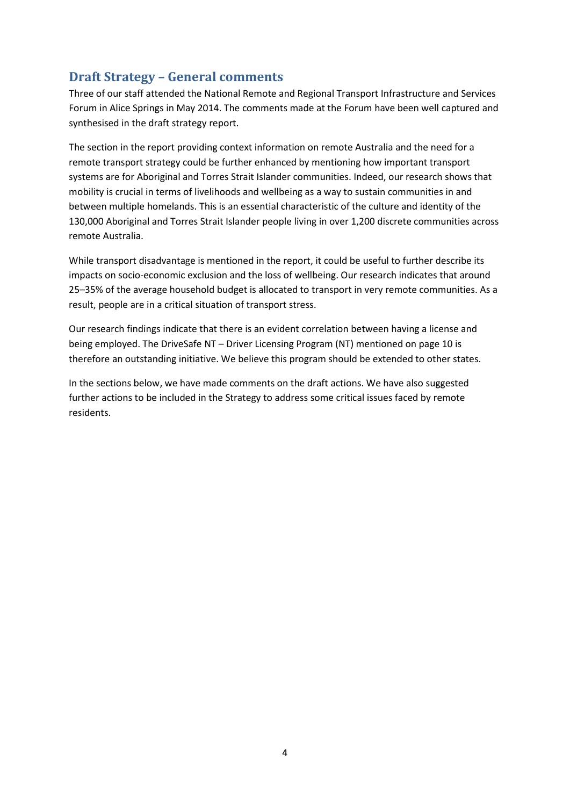# <span id="page-3-0"></span>**Draft Strategy – General comments**

Three of our staff attended the National Remote and Regional Transport Infrastructure and Services Forum in Alice Springs in May 2014. The comments made at the Forum have been well captured and synthesised in the draft strategy report.

The section in the report providing context information on remote Australia and the need for a remote transport strategy could be further enhanced by mentioning how important transport systems are for Aboriginal and Torres Strait Islander communities. Indeed, our research shows that mobility is crucial in terms of livelihoods and wellbeing as a way to sustain communities in and between multiple homelands. This is an essential characteristic of the culture and identity of the 130,000 Aboriginal and Torres Strait Islander people living in over 1,200 discrete communities across remote Australia.

While transport disadvantage is mentioned in the report, it could be useful to further describe its impacts on socio-economic exclusion and the loss of wellbeing. Our research indicates that around 25–35% of the average household budget is allocated to transport in very remote communities. As a result, people are in a critical situation of transport stress.

Our research findings indicate that there is an evident correlation between having a license and being employed. The DriveSafe NT – Driver Licensing Program (NT) mentioned on page 10 is therefore an outstanding initiative. We believe this program should be extended to other states.

In the sections below, we have made comments on the draft actions. We have also suggested further actions to be included in the Strategy to address some critical issues faced by remote residents.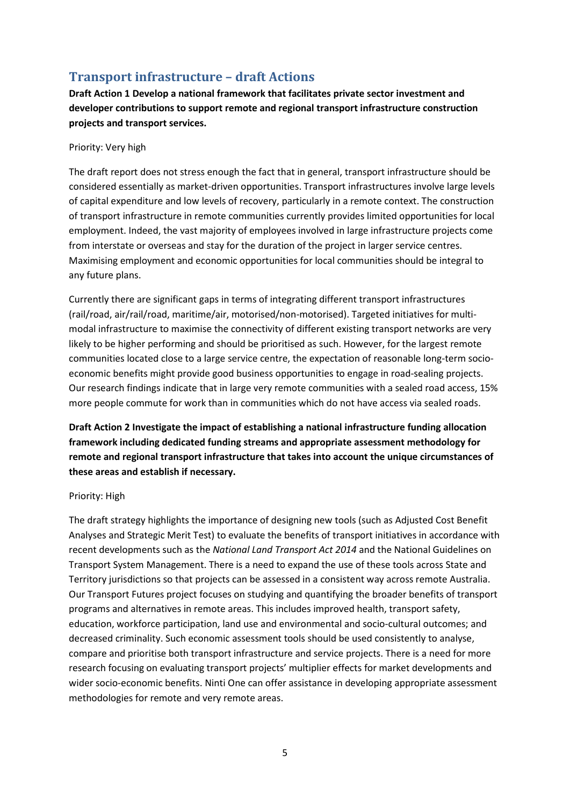# <span id="page-4-0"></span>**Transport infrastructure – draft Actions**

**Draft Action 1 Develop a national framework that facilitates private sector investment and developer contributions to support remote and regional transport infrastructure construction projects and transport services.**

### Priority: Very high

The draft report does not stress enough the fact that in general, transport infrastructure should be considered essentially as market-driven opportunities. Transport infrastructures involve large levels of capital expenditure and low levels of recovery, particularly in a remote context. The construction of transport infrastructure in remote communities currently provides limited opportunities for local employment. Indeed, the vast majority of employees involved in large infrastructure projects come from interstate or overseas and stay for the duration of the project in larger service centres. Maximising employment and economic opportunities for local communities should be integral to any future plans.

Currently there are significant gaps in terms of integrating different transport infrastructures (rail/road, air/rail/road, maritime/air, motorised/non-motorised). Targeted initiatives for multimodal infrastructure to maximise the connectivity of different existing transport networks are very likely to be higher performing and should be prioritised as such. However, for the largest remote communities located close to a large service centre, the expectation of reasonable long-term socioeconomic benefits might provide good business opportunities to engage in road-sealing projects. Our research findings indicate that in large very remote communities with a sealed road access, 15% more people commute for work than in communities which do not have access via sealed roads.

**Draft Action 2 Investigate the impact of establishing a national infrastructure funding allocation framework including dedicated funding streams and appropriate assessment methodology for remote and regional transport infrastructure that takes into account the unique circumstances of these areas and establish if necessary.**

### Priority: High

The draft strategy highlights the importance of designing new tools (such as Adjusted Cost Benefit Analyses and Strategic Merit Test) to evaluate the benefits of transport initiatives in accordance with recent developments such as the *National Land Transport Act 2014* and the National Guidelines on Transport System Management. There is a need to expand the use of these tools across State and Territory jurisdictions so that projects can be assessed in a consistent way across remote Australia. Our Transport Futures project focuses on studying and quantifying the broader benefits of transport programs and alternatives in remote areas. This includes improved health, transport safety, education, workforce participation, land use and environmental and socio-cultural outcomes; and decreased criminality. Such economic assessment tools should be used consistently to analyse, compare and prioritise both transport infrastructure and service projects. There is a need for more research focusing on evaluating transport projects' multiplier effects for market developments and wider socio-economic benefits. Ninti One can offer assistance in developing appropriate assessment methodologies for remote and very remote areas.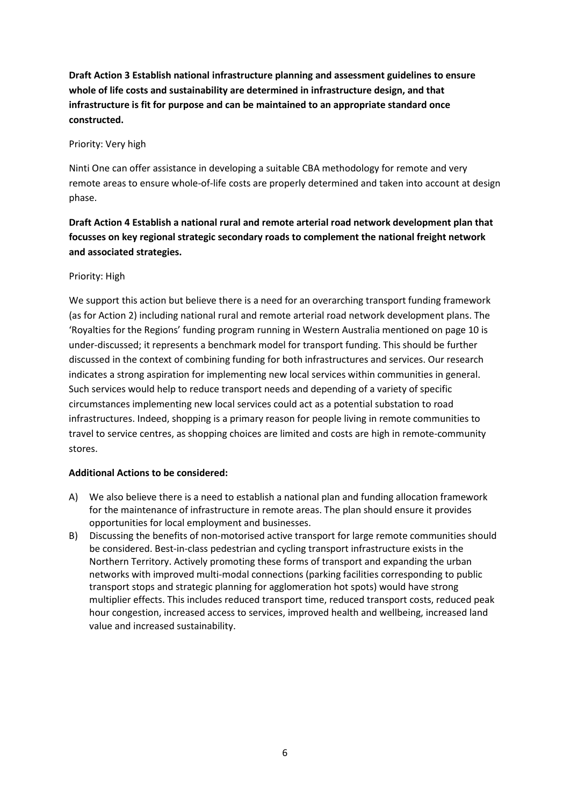**Draft Action 3 Establish national infrastructure planning and assessment guidelines to ensure whole of life costs and sustainability are determined in infrastructure design, and that infrastructure is fit for purpose and can be maintained to an appropriate standard once constructed.**

### Priority: Very high

Ninti One can offer assistance in developing a suitable CBA methodology for remote and very remote areas to ensure whole-of-life costs are properly determined and taken into account at design phase.

## **Draft Action 4 Establish a national rural and remote arterial road network development plan that focusses on key regional strategic secondary roads to complement the national freight network and associated strategies.**

### Priority: High

We support this action but believe there is a need for an overarching transport funding framework (as for Action 2) including national rural and remote arterial road network development plans. The 'Royalties for the Regions' funding program running in Western Australia mentioned on page 10 is under-discussed; it represents a benchmark model for transport funding. This should be further discussed in the context of combining funding for both infrastructures and services. Our research indicates a strong aspiration for implementing new local services within communities in general. Such services would help to reduce transport needs and depending of a variety of specific circumstances implementing new local services could act as a potential substation to road infrastructures. Indeed, shopping is a primary reason for people living in remote communities to travel to service centres, as shopping choices are limited and costs are high in remote-community stores.

### **Additional Actions to be considered:**

- A) We also believe there is a need to establish a national plan and funding allocation framework for the maintenance of infrastructure in remote areas. The plan should ensure it provides opportunities for local employment and businesses.
- B) Discussing the benefits of non-motorised active transport for large remote communities should be considered. Best-in-class pedestrian and cycling transport infrastructure exists in the Northern Territory. Actively promoting these forms of transport and expanding the urban networks with improved multi-modal connections (parking facilities corresponding to public transport stops and strategic planning for agglomeration hot spots) would have strong multiplier effects. This includes reduced transport time, reduced transport costs, reduced peak hour congestion, increased access to services, improved health and wellbeing, increased land value and increased sustainability.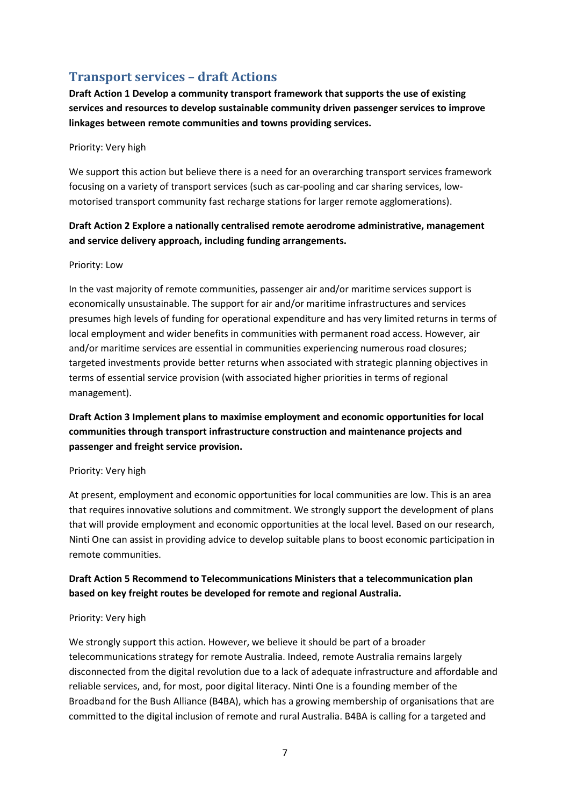# <span id="page-6-0"></span>**Transport services – draft Actions**

**Draft Action 1 Develop a community transport framework that supports the use of existing services and resources to develop sustainable community driven passenger services to improve linkages between remote communities and towns providing services.**

### Priority: Very high

We support this action but believe there is a need for an overarching transport services framework focusing on a variety of transport services (such as car-pooling and car sharing services, lowmotorised transport community fast recharge stations for larger remote agglomerations).

### **Draft Action 2 Explore a nationally centralised remote aerodrome administrative, management and service delivery approach, including funding arrangements.**

### Priority: Low

In the vast majority of remote communities, passenger air and/or maritime services support is economically unsustainable. The support for air and/or maritime infrastructures and services presumes high levels of funding for operational expenditure and has very limited returns in terms of local employment and wider benefits in communities with permanent road access. However, air and/or maritime services are essential in communities experiencing numerous road closures; targeted investments provide better returns when associated with strategic planning objectives in terms of essential service provision (with associated higher priorities in terms of regional management).

### **Draft Action 3 Implement plans to maximise employment and economic opportunities for local communities through transport infrastructure construction and maintenance projects and passenger and freight service provision.**

### Priority: Very high

At present, employment and economic opportunities for local communities are low. This is an area that requires innovative solutions and commitment. We strongly support the development of plans that will provide employment and economic opportunities at the local level. Based on our research, Ninti One can assist in providing advice to develop suitable plans to boost economic participation in remote communities.

### **Draft Action 5 Recommend to Telecommunications Ministers that a telecommunication plan based on key freight routes be developed for remote and regional Australia.**

### Priority: Very high

We strongly support this action. However, we believe it should be part of a broader telecommunications strategy for remote Australia. Indeed, remote Australia remains largely disconnected from the digital revolution due to a lack of adequate infrastructure and affordable and reliable services, and, for most, poor digital literacy. Ninti One is a founding member of the Broadband for the Bush Alliance (B4BA), which has a growing membership of organisations that are committed to the digital inclusion of remote and rural Australia. B4BA is calling for a targeted and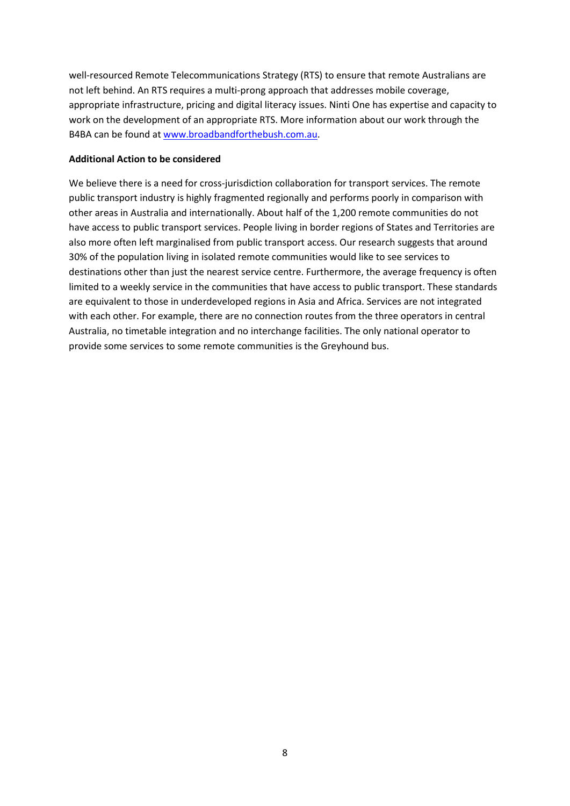well-resourced Remote Telecommunications Strategy (RTS) to ensure that remote Australians are not left behind. An RTS requires a multi-prong approach that addresses mobile coverage, appropriate infrastructure, pricing and digital literacy issues. Ninti One has expertise and capacity to work on the development of an appropriate RTS. More information about our work through the B4BA can be found a[t www.broadbandforthebush.com.au.](http://www.broadbandforthebush.com.au/)

### **Additional Action to be considered**

We believe there is a need for cross-jurisdiction collaboration for transport services. The remote public transport industry is highly fragmented regionally and performs poorly in comparison with other areas in Australia and internationally. About half of the 1,200 remote communities do not have access to public transport services. People living in border regions of States and Territories are also more often left marginalised from public transport access. Our research suggests that around 30% of the population living in isolated remote communities would like to see services to destinations other than just the nearest service centre. Furthermore, the average frequency is often limited to a weekly service in the communities that have access to public transport. These standards are equivalent to those in underdeveloped regions in Asia and Africa. Services are not integrated with each other. For example, there are no connection routes from the three operators in central Australia, no timetable integration and no interchange facilities. The only national operator to provide some services to some remote communities is the Greyhound bus.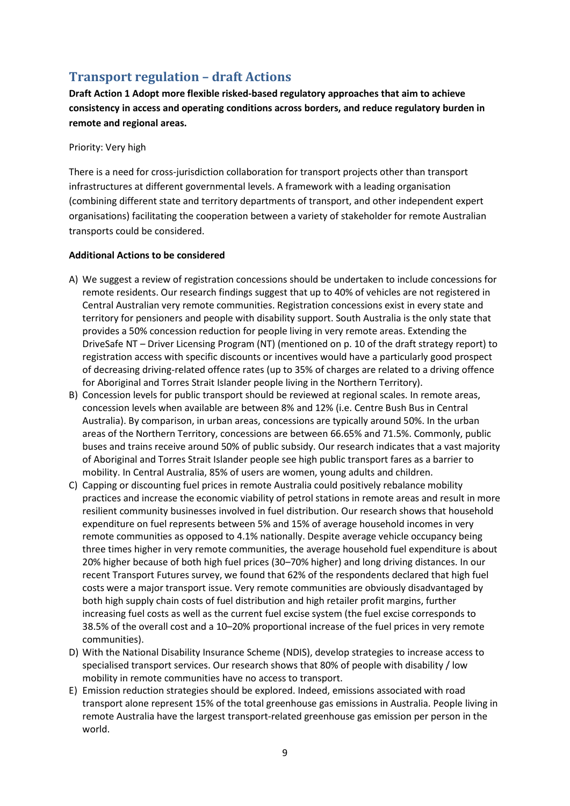# <span id="page-8-0"></span>**Transport regulation – draft Actions**

**Draft Action 1 Adopt more flexible risked-based regulatory approaches that aim to achieve consistency in access and operating conditions across borders, and reduce regulatory burden in remote and regional areas.**

### Priority: Very high

There is a need for cross-jurisdiction collaboration for transport projects other than transport infrastructures at different governmental levels. A framework with a leading organisation (combining different state and territory departments of transport, and other independent expert organisations) facilitating the cooperation between a variety of stakeholder for remote Australian transports could be considered.

### **Additional Actions to be considered**

- A) We suggest a review of registration concessions should be undertaken to include concessions for remote residents. Our research findings suggest that up to 40% of vehicles are not registered in Central Australian very remote communities. Registration concessions exist in every state and territory for pensioners and people with disability support. South Australia is the only state that provides a 50% concession reduction for people living in very remote areas. Extending the DriveSafe NT – Driver Licensing Program (NT) (mentioned on p. 10 of the draft strategy report) to registration access with specific discounts or incentives would have a particularly good prospect of decreasing driving-related offence rates (up to 35% of charges are related to a driving offence for Aboriginal and Torres Strait Islander people living in the Northern Territory).
- B) Concession levels for public transport should be reviewed at regional scales. In remote areas, concession levels when available are between 8% and 12% (i.e. Centre Bush Bus in Central Australia). By comparison, in urban areas, concessions are typically around 50%. In the urban areas of the Northern Territory, concessions are between 66.65% and 71.5%. Commonly, public buses and trains receive around 50% of public subsidy. Our research indicates that a vast majority of Aboriginal and Torres Strait Islander people see high public transport fares as a barrier to mobility. In Central Australia, 85% of users are women, young adults and children.
- C) Capping or discounting fuel prices in remote Australia could positively rebalance mobility practices and increase the economic viability of petrol stations in remote areas and result in more resilient community businesses involved in fuel distribution. Our research shows that household expenditure on fuel represents between 5% and 15% of average household incomes in very remote communities as opposed to 4.1% nationally. Despite average vehicle occupancy being three times higher in very remote communities, the average household fuel expenditure is about 20% higher because of both high fuel prices (30–70% higher) and long driving distances. In our recent Transport Futures survey, we found that 62% of the respondents declared that high fuel costs were a major transport issue. Very remote communities are obviously disadvantaged by both high supply chain costs of fuel distribution and high retailer profit margins, further increasing fuel costs as well as the current fuel excise system (the fuel excise corresponds to 38.5% of the overall cost and a 10–20% proportional increase of the fuel prices in very remote communities).
- D) With the National Disability Insurance Scheme (NDIS), develop strategies to increase access to specialised transport services. Our research shows that 80% of people with disability / low mobility in remote communities have no access to transport.
- E) Emission reduction strategies should be explored. Indeed, emissions associated with road transport alone represent 15% of the total greenhouse gas emissions in Australia. People living in remote Australia have the largest transport-related greenhouse gas emission per person in the world.